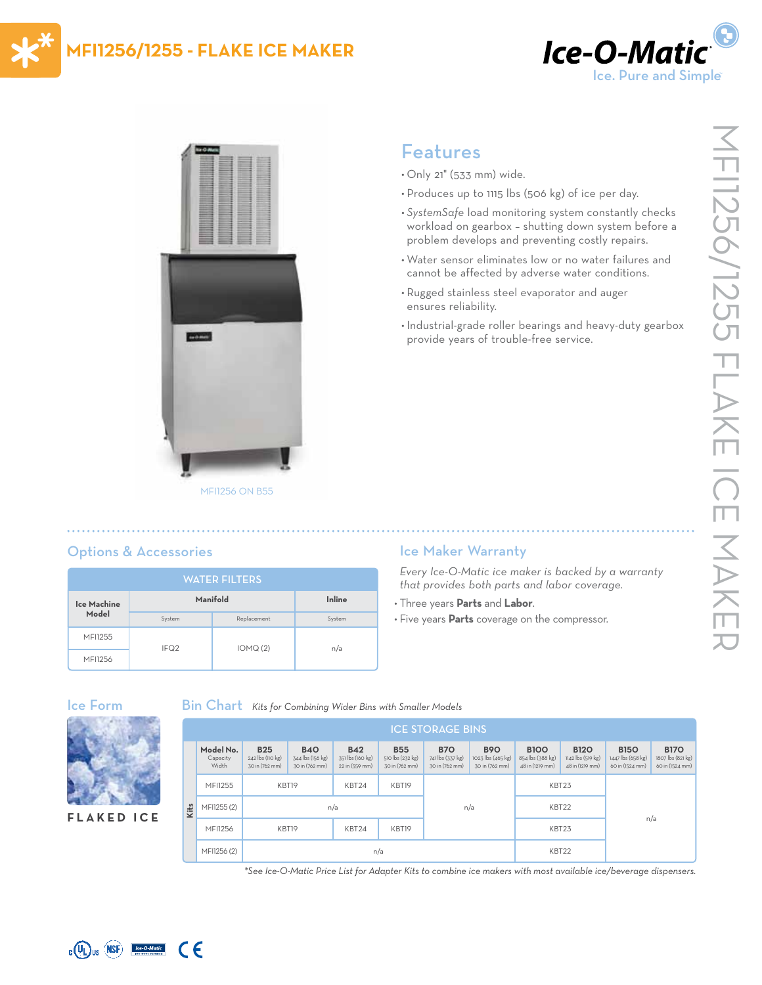

# **MFI1256/1255 - FLAKE ICE MAKER**



# Features

- Only 21" (533 mm) wide.
- Produces up to 1115 lbs (506 kg) of ice per day.
- *• SystemSafe* load monitoring system constantly checks workload on gearbox – shutting down system before a problem develops and preventing costly repairs.
- Water sensor eliminates low or no water failures and cannot be affected by adverse water conditions.
- Rugged stainless steel evaporator and auger ensures reliability.
- Industrial-grade roller bearings and heavy-duty gearbox provide years of trouble-free service.

# Options & Accessories

| <b>WATER FILTERS</b> |                  |             |        |  |  |  |  |  |
|----------------------|------------------|-------------|--------|--|--|--|--|--|
| Ice Machine<br>Model | Manifold         | Inline      |        |  |  |  |  |  |
|                      | System           | Replacement | System |  |  |  |  |  |
| MFI1255              | IFQ <sub>2</sub> | IOMQ(2)     | n/a    |  |  |  |  |  |
| <b>MFI1256</b>       |                  |             |        |  |  |  |  |  |

**Kits** 

## Ice Maker Warranty

*Every Ice-O-Matic ice maker is backed by a warranty that provides both parts and labor coverage.*

- Three years **Parts** and **Labor**.
- Five years **Parts** coverage on the compressor.





| <b>ICE STORAGE BINS</b> |                                |                                                  |                                                  |                                                  |                                                  |                                                  |                                                   |                                                    |                                                     |                                                     |                                                     |  |
|-------------------------|--------------------------------|--------------------------------------------------|--------------------------------------------------|--------------------------------------------------|--------------------------------------------------|--------------------------------------------------|---------------------------------------------------|----------------------------------------------------|-----------------------------------------------------|-----------------------------------------------------|-----------------------------------------------------|--|
|                         | Model No.<br>Capacity<br>Width | <b>B25</b><br>242 lbs (110 kg)<br>30 in (762 mm) | <b>B40</b><br>344 lbs (156 kg)<br>30 in (762 mm) | <b>B42</b><br>351 lbs (160 kg)<br>22 in (559 mm) | <b>B55</b><br>510 lbs (232 kg)<br>30 in (762 mm) | <b>B70</b><br>741 lbs (337 kg)<br>30 in (762 mm) | <b>B90</b><br>1023 lbs (465 kg)<br>30 in (762 mm) | <b>B100</b><br>854 lbs (388 kg)<br>48 in (1219 mm) | <b>B120</b><br>1142 lbs (519 kg)<br>48 in (1219 mm) | <b>B150</b><br>1447 lbs (658 kg)<br>60 in (1524 mm) | <b>B170</b><br>1807 lbs (821 kg)<br>60 in (1524 mm) |  |
|                         | MFI1255                        |                                                  | KBT19<br>KBT24                                   |                                                  | KBT19                                            |                                                  |                                                   | KBT23                                              |                                                     |                                                     |                                                     |  |
|                         | MFI1255 (2)                    |                                                  | n/a                                              |                                                  |                                                  | n/a                                              |                                                   | KBT22                                              |                                                     |                                                     |                                                     |  |
|                         | MFI1256                        | KBT19                                            |                                                  | KBT24                                            | KBT19                                            |                                                  |                                                   | KBT23                                              |                                                     |                                                     | n/a                                                 |  |
|                         | MFI1256 (2)                    | n/a                                              |                                                  |                                                  |                                                  |                                                  |                                                   | KBT22                                              |                                                     |                                                     |                                                     |  |

*\*See Ice-O-Matic Price List for Adapter Kits to combine ice makers with most available ice/beverage dispensers.*